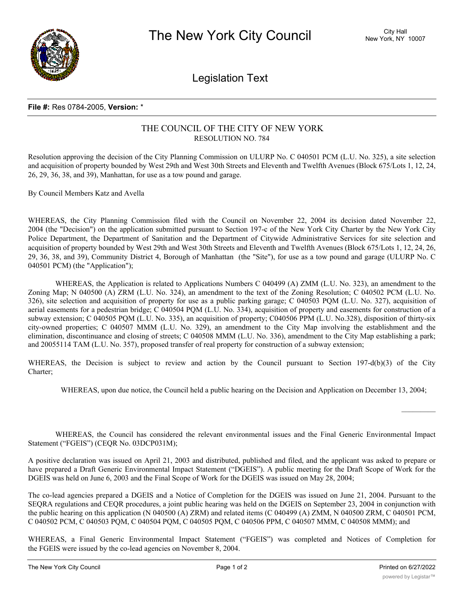

Legislation Text

## **File #:** Res 0784-2005, **Version:** \*

## THE COUNCIL OF THE CITY OF NEW YORK RESOLUTION NO. 784

Resolution approving the decision of the City Planning Commission on ULURP No. C 040501 PCM (L.U. No. 325), a site selection and acquisition of property bounded by West 29th and West 30th Streets and Eleventh and Twelfth Avenues (Block 675/Lots 1, 12, 24, 26, 29, 36, 38, and 39), Manhattan, for use as a tow pound and garage.

By Council Members Katz and Avella

WHEREAS, the City Planning Commission filed with the Council on November 22, 2004 its decision dated November 22, 2004 (the "Decision") on the application submitted pursuant to Section 197-c of the New York City Charter by the New York City Police Department, the Department of Sanitation and the Department of Citywide Administrative Services for site selection and acquisition of property bounded by West 29th and West 30th Streets and Eleventh and Twelfth Avenues (Block 675/Lots 1, 12, 24, 26, 29, 36, 38, and 39), Community District 4, Borough of Manhattan (the "Site"), for use as a tow pound and garage (ULURP No. C 040501 PCM) (the "Application");

WHEREAS, the Application is related to Applications Numbers C 040499 (A) ZMM (L.U. No. 323), an amendment to the Zoning Map; N 040500 (A) ZRM (L.U. No. 324), an amendment to the text of the Zoning Resolution; C 040502 PCM (L.U. No. 326), site selection and acquisition of property for use as a public parking garage; C 040503 PQM (L.U. No. 327), acquisition of aerial easements for a pedestrian bridge; C 040504 PQM (L.U. No. 334), acquisition of property and easements for construction of a subway extension; C 040505 PQM (L.U. No. 335), an acquisition of property; C040506 PPM (L.U. No.328), disposition of thirty-six city-owned properties; C 040507 MMM (L.U. No. 329), an amendment to the City Map involving the establishment and the elimination, discontinuance and closing of streets; C 040508 MMM (L.U. No. 336), amendment to the City Map establishing a park; and 20055114 TAM (L.U. No. 357), proposed transfer of real property for construction of a subway extension;

WHEREAS, the Decision is subject to review and action by the Council pursuant to Section 197-d(b)(3) of the City Charter;

WHEREAS, upon due notice, the Council held a public hearing on the Decision and Application on December 13, 2004;

WHEREAS, the Council has considered the relevant environmental issues and the Final Generic Environmental Impact Statement ("FGEIS") (CEQR No. 03DCP031M);

A positive declaration was issued on April 21, 2003 and distributed, published and filed, and the applicant was asked to prepare or have prepared a Draft Generic Environmental Impact Statement ("DGEIS"). A public meeting for the Draft Scope of Work for the DGEIS was held on June 6, 2003 and the Final Scope of Work for the DGEIS was issued on May 28, 2004;

The co-lead agencies prepared a DGEIS and a Notice of Completion for the DGEIS was issued on June 21, 2004. Pursuant to the SEQRA regulations and CEQR procedures, a joint public hearing was held on the DGEIS on September 23, 2004 in conjunction with the public hearing on this application (N 040500 (A) ZRM) and related items (C 040499 (A) ZMM, N 040500 ZRM, C 040501 PCM, C 040502 PCM, C 040503 PQM, C 040504 PQM, C 040505 PQM, C 040506 PPM, C 040507 MMM, C 040508 MMM); and

WHEREAS, a Final Generic Environmental Impact Statement ("FGEIS") was completed and Notices of Completion for the FGEIS were issued by the co-lead agencies on November 8, 2004.

 $\frac{1}{2}$